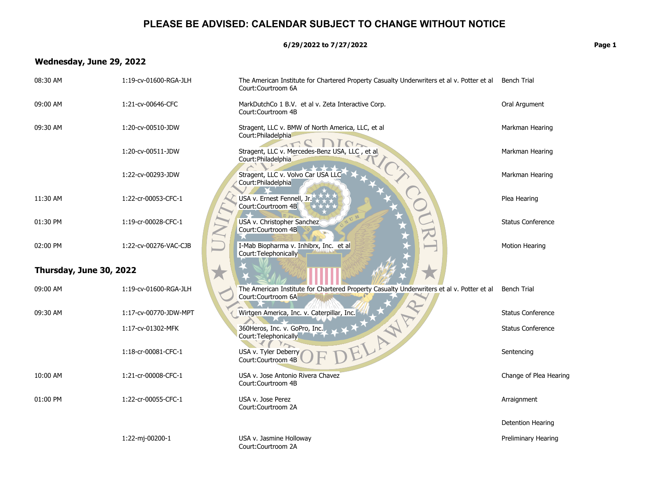**6/29/2022 to 7/27/2022 Page 1**

# **Wednesday, June 29, 2022**

| 08:30 AM                | 1:19-cv-01600-RGA-JLH | The American Institute for Chartered Property Casualty Underwriters et al v. Potter et al Bench Trial<br>Court:Courtroom 6A |                          |
|-------------------------|-----------------------|-----------------------------------------------------------------------------------------------------------------------------|--------------------------|
| 09:00 AM                | 1:21-cv-00646-CFC     | MarkDutchCo 1 B.V. et al v. Zeta Interactive Corp.<br>Court: Courtroom 4B                                                   | Oral Argument            |
| 09:30 AM                | 1:20-cv-00510-JDW     | Stragent, LLC v. BMW of North America, LLC, et al<br>Court: Philadelphia                                                    | Markman Hearing          |
|                         | 1:20-cv-00511-JDW     | $I \cap \sim$<br>$\Lambda$<br>Stragent, LLC v. Mercedes-Benz USA, LLC, et al.<br>Court: Philadelphia                        | Markman Hearing          |
|                         | 1:22-cv-00293-JDW     | Stragent, LLC v. Volvo Car USA LLC<br>Court: Philadelphia                                                                   | Markman Hearing          |
| 11:30 AM                | 1:22-cr-00053-CFC-1   | 200<br>USA v. Ernest Fennell, Jr.<br>Court:Courtroom 4B                                                                     | Plea Hearing             |
| 01:30 PM                | 1:19-cr-00028-CFC-1   | USA v. Christopher Sanchez<br>Court:Courtroom 4B                                                                            | <b>Status Conference</b> |
| 02:00 PM                | 1:22-cv-00276-VAC-CJB | I-Mab Biopharma v. Inhibrx, Inc. et al<br>Court: Telephonically                                                             | Motion Hearing           |
| Thursday, June 30, 2022 |                       |                                                                                                                             |                          |
| 09:00 AM                | 1:19-cv-01600-RGA-JLH | The American Institute for Chartered Property Casualty Underwriters et al v. Potter et al<br>Court:Courtroom 6A             | <b>Bench Trial</b>       |
| 09:30 AM                | 1:17-cv-00770-JDW-MPT | Wirtgen America, Inc. v. Caterpillar, Inc.                                                                                  | <b>Status Conference</b> |
|                         | 1:17-cv-01302-MFK     | ELANTA<br>360Heros, Inc. v. GoPro, Inc.<br>Court: Telephonically                                                            | <b>Status Conference</b> |
|                         | 1:18-cr-00081-CFC-1   | USA v. Tyler Deberry<br>Court: Courtroom 4B                                                                                 | Sentencing               |
| 10:00 AM                | 1:21-cr-00008-CFC-1   | USA v. Jose Antonio Rivera Chavez<br>Court:Courtroom 4B                                                                     | Change of Plea Hearing   |
| 01:00 PM                | 1:22-cr-00055-CFC-1   | USA v. Jose Perez<br>Court:Courtroom 2A                                                                                     | Arraignment              |
|                         |                       |                                                                                                                             | Detention Hearing        |
|                         | 1:22-mj-00200-1       | USA v. Jasmine Holloway<br>Court:Courtroom 2A                                                                               | Preliminary Hearing      |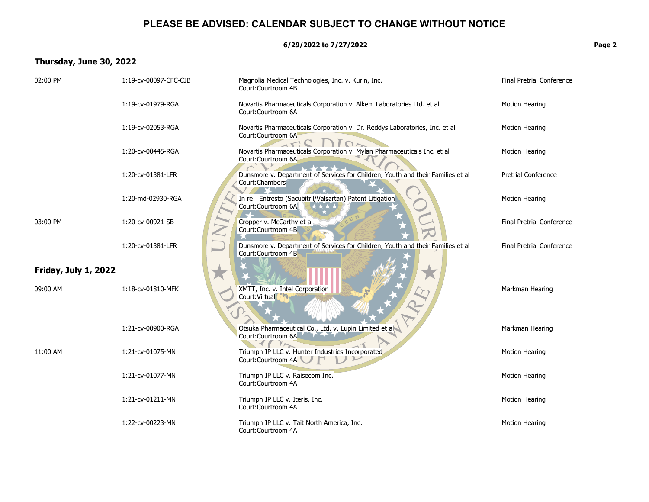**6/29/2022 to 7/27/2022 Page 2**

# **Thursday, June 30, 2022**

| 02:00 PM                    | 1:19-cv-00097-CFC-CJB | Magnolia Medical Technologies, Inc. v. Kurin, Inc.<br>Court:Courtroom 4B                                   | Final Pretrial Conference        |
|-----------------------------|-----------------------|------------------------------------------------------------------------------------------------------------|----------------------------------|
|                             | 1:19-cv-01979-RGA     | Novartis Pharmaceuticals Corporation v. Alkem Laboratories Ltd. et al<br>Court:Courtroom 6A                | <b>Motion Hearing</b>            |
|                             | 1:19-cv-02053-RGA     | Novartis Pharmaceuticals Corporation v. Dr. Reddys Laboratories, Inc. et al<br>Court:Courtroom 6A          | <b>Motion Hearing</b>            |
|                             | 1:20-cv-00445-RGA     | $\Gamma$<br>Novartis Pharmaceuticals Corporation v. Mylan Pharmaceuticals Inc. et al<br>Court:Courtroom 6A | <b>Motion Hearing</b>            |
|                             | 1:20-cv-01381-LFR     | Dunsmore v. Department of Services for Children, Youth and their Families et al<br>Court:Chambers          | <b>Pretrial Conference</b>       |
|                             | 1:20-md-02930-RGA     | In re: Entresto (Sacubitril/Valsartan) Patent Litigation<br>Court:Courtroom 6A                             | <b>Motion Hearing</b>            |
| 03:00 PM                    | 1:20-cv-00921-SB      | Cropper v. McCarthy et al<br>Court: Courtroom 4B                                                           | <b>Final Pretrial Conference</b> |
|                             | 1:20-cv-01381-LFR     | Dunsmore v. Department of Services for Children, Youth and their Families et al<br>Court:Courtroom 4B      | <b>Final Pretrial Conference</b> |
| <b>Friday, July 1, 2022</b> |                       |                                                                                                            |                                  |
| 09:00 AM                    | 1:18-cv-01810-MFK     | XMTT, Inc. v. Intel Corporation<br>Court: Virtual                                                          | Markman Hearing                  |
|                             | 1:21-cv-00900-RGA     | Otsuka Pharmaceutical Co., Ltd. v. Lupin Limited et al<br>Court:Courtroom 6A                               | Markman Hearing                  |
| 11:00 AM                    | 1:21-cv-01075-MN      | $\gamma_{\sim}$<br>Triumph IP LLC v. Hunter Industries Incorporated<br>Court:Courtroom 4A                  | <b>Motion Hearing</b>            |
|                             | 1:21-cv-01077-MN      | Triumph IP LLC v. Raisecom Inc.<br>Court:Courtroom 4A                                                      | <b>Motion Hearing</b>            |
|                             | 1:21-cv-01211-MN      | Triumph IP LLC v. Iteris, Inc.<br>Court:Courtroom 4A                                                       | <b>Motion Hearing</b>            |
|                             | 1:22-cv-00223-MN      | Triumph IP LLC v. Tait North America, Inc.<br>Court:Courtroom 4A                                           | <b>Motion Hearing</b>            |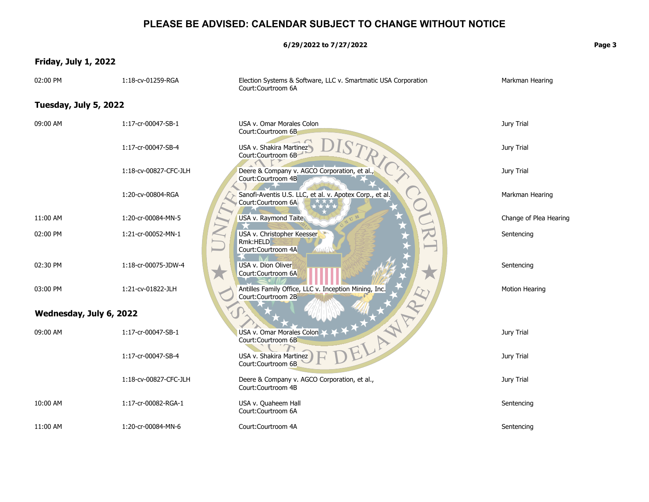**6/29/2022 to 7/27/2022 Page 3**

# **Friday, July 1, 2022**

| 02:00 PM                | 1:18-cv-01259-RGA     | Election Systems & Software, LLC v. Smartmatic USA Corporation<br>Court:Courtroom 6A | Markman Hearing        |
|-------------------------|-----------------------|--------------------------------------------------------------------------------------|------------------------|
| Tuesday, July 5, 2022   |                       |                                                                                      |                        |
| 09:00 AM                | 1:17-cr-00047-SB-1    | USA v. Omar Morales Colon<br>Court:Courtroom 6B                                      | Jury Trial             |
|                         | 1:17-cr-00047-SB-4    | USA v. Shakira Martinez<br>Court:Courtroom 6B                                        | Jury Trial             |
|                         | 1:18-cv-00827-CFC-JLH | Deere & Company v. AGCO Corporation, et al.,<br>Court:Courtroom 4B                   | Jury Trial             |
|                         | 1:20-cv-00804-RGA     | Sanofi-Aventis U.S. LLC, et al. v. Apotex Corp., et al.<br>Court:Courtroom 6A        | Markman Hearing        |
| 11:00 AM                | 1:20-cr-00084-MN-5    | USA v. Raymond Taite                                                                 | Change of Plea Hearing |
| 02:00 PM                | 1:21-cr-00052-MN-1    | USA v. Christopher Keesser<br>Rmk:HELD<br>Court:Courtroom 4A                         | Sentencing             |
| 02:30 PM                | 1:18-cr-00075-JDW-4   | USA v. Dion Oliver<br>Court:Courtroom 6A                                             | Sentencing             |
| 03:00 PM                | 1:21-cv-01822-JLH     | Antilles Family Office, LLC v. Inception Mining, Inc.<br>Court:Courtroom 2B          | Motion Hearing         |
| Wednesday, July 6, 2022 |                       |                                                                                      |                        |
| 09:00 AM                | 1:17-cr-00047-SB-1    | ELANE (E<br>USA v. Omar Morales Colon<br>Court:Courtroom 6B                          | Jury Trial             |
|                         | 1:17-cr-00047-SB-4    | USA v. Shakira Martinez<br>Court:Courtroom 6B                                        | Jury Trial             |
|                         | 1:18-cv-00827-CFC-JLH | Deere & Company v. AGCO Corporation, et al.,<br>Court:Courtroom 4B                   | Jury Trial             |
| 10:00 AM                | 1:17-cr-00082-RGA-1   | USA v. Quaheem Hall<br>Court:Courtroom 6A                                            | Sentencing             |
| 11:00 AM                | 1:20-cr-00084-MN-6    | Court:Courtroom 4A                                                                   | Sentencing             |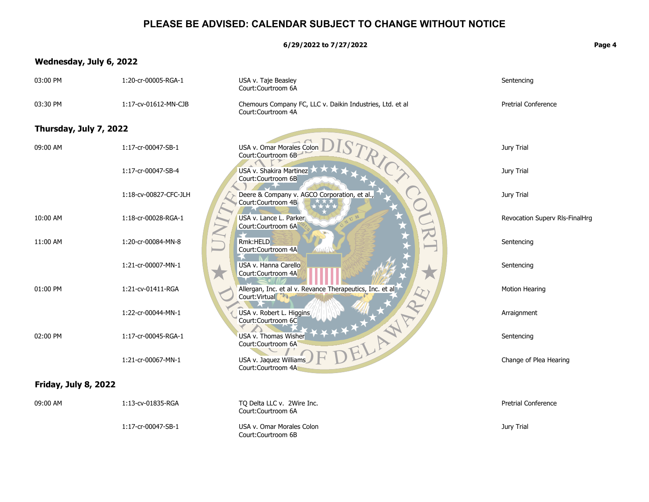**6/29/2022 to 7/27/2022 Page 4**

## **Wednesday, July 6, 2022**

#### USA v. Omar Morales Colc<br>
Court:Courtroom 6B<br>
USA v. Shakira Martinez<br>
Court:Courtroom 6B<br>
Deere & Company v. AGC<br>
Court:Courtroom 4B<br>
USA v. Lance L. Parker<br>
Court:Courtroom 6A<br>
Kmk:HELD<br>
Court:Courtroom 4A  ${\rm D}$ ISTRICT  $\star$ Allergan, Inc. et al.<br>
Court:Virtual<br>
USA v. Robert L. Higher<br>
Court:Courtroom 66<br>
USA v. Thomas Wis<br>
Court:Courtroom 64<br>
USA v. Jaguar William 1:21-cr-00067-MN-1 USA v. Jaquez Williams  $\bm{\mathrm{F}}$ DELAWARE H 03:00 PM 1:20-cr-00005-RGA-1 USA v. Taje Beasley Court:Courtroom 6A Sentencing 03:30 PM 1:17-cv-01612-MN-CJB Chemours Company FC, LLC v. Daikin Industries, Ltd. et al Court:Courtroom 4A Pretrial Conference **Thursday, July 7, 2022** 09:00 AM 1:17-cr-00047-SB-1 USA v. Omar Morales Colon Court:Courtroom 6B Jury Trial 1:17-cr-00047-SB-4 USA v. Shakira Martinez Court:Courtroom 6B Jury Trial 1:18-cv-00827-CFC-JLH Deere & Company v. AGCO Corporation, et al., Court:Courtroom 4B Jury Trial 10:00 AM 1:18-cr-00028-RGA-1 USA v. Lance L. Parker Court:Courtroom 6A Revocation Superv Rls-FinalHrg 11:00 AM 1:20-cr-00084-MN-8 Rmk:HELD Court:Courtroom 4A Sentencing 1:21-cr-00007-MN-1 USA v. Hanna Carello Court:Courtroom 4A Sentencing 01:00 PM 1:21-cv-01411-RGA Allergan, Inc. et al v. Revance Therapeutics, Inc. et al Court:Virtual Motion Hearing 1:22-cr-00044-MN-1 USA v. Robert L. Higgins Court:Courtroom 6C Arraignment 02:00 PM 1:17-cr-00045-RGA-1 USA v. Thomas Wisher Court:Courtroom 6A Sentencing Court:Courtroom 4A Change of Plea Hearing  **Friday, July 8, 2022**

09:00 AM 1:13-cv-01835-RGA TQ Delta LLC v. 2Wire Inc. Court:Courtroom 6A Pretrial Conference 1:17-cr-00047-SB-1 USA v. Omar Morales Colon Court:Courtroom 6BJury Trial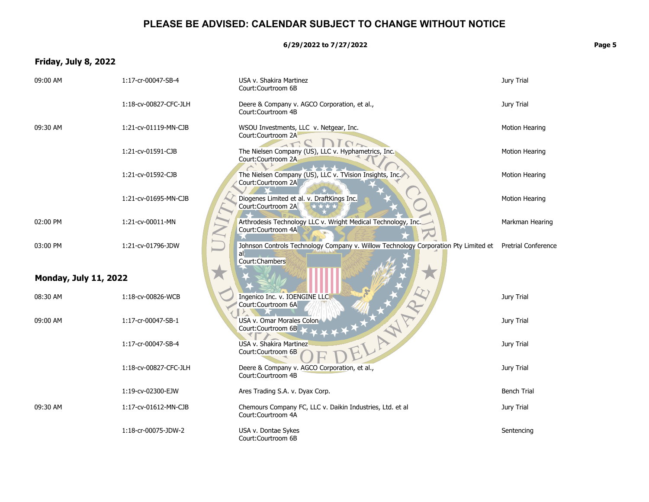**6/29/2022 to 7/27/2022 Page 5**

# **Friday, July 8, 2022**

| 09:00 AM                     | 1:17-cr-00047-SB-4    | USA v. Shakira Martinez<br>Court:Courtroom 6B                                                                                   | Jury Trial            |
|------------------------------|-----------------------|---------------------------------------------------------------------------------------------------------------------------------|-----------------------|
|                              | 1:18-cv-00827-CFC-JLH | Deere & Company v. AGCO Corporation, et al.,<br>Court: Courtroom 4B                                                             | Jury Trial            |
| 09:30 AM                     | 1:21-cv-01119-MN-CJB  | WSOU Investments, LLC v. Netgear, Inc.<br>Court:Courtroom 2A                                                                    | <b>Motion Hearing</b> |
|                              | 1:21-cv-01591-CJB     | $I \cap \mathcal{F}$<br>The Nielsen Company (US), LLC v. Hyphametrics, Inc.<br>Court:Courtroom 2A                               | <b>Motion Hearing</b> |
|                              | 1:21-cv-01592-CJB     | The Nielsen Company (US), LLC v. TVision Insights, Inc.<br>Court:Courtroom 2A                                                   | <b>Motion Hearing</b> |
|                              | 1:21-cv-01695-MN-CJB  | Diogenes Limited et al. v. DraftKings Inc.<br>Court:Courtroom 2A                                                                | <b>Motion Hearing</b> |
| 02:00 PM                     | 1:21-cv-00011-MN      | Arthrodesis Technology LLC v. Wright Medical Technology, Inc.<br>Court:Courtroom 4A                                             | Markman Hearing       |
| 03:00 PM                     | 1:21-cv-01796-JDW     | Johnson Controls Technology Company v. Willow Technology Corporation Pty Limited et Pretrial Conference<br>al<br>Court:Chambers |                       |
| <b>Monday, July 11, 2022</b> |                       |                                                                                                                                 |                       |
| 08:30 AM                     | 1:18-cv-00826-WCB     | Ingenico Inc. v. IOENGINE LLC<br>Court:Courtroom 6A                                                                             | Jury Trial            |
| 09:00 AM                     | 1:17-cr-00047-SB-1    | <b>TANARY</b><br>USA v. Omar Morales Colon<br>Court:Courtroom 6B                                                                | Jury Trial            |
|                              | 1:17-cr-00047-SB-4    | USA v. Shakira Martinez<br>Court:Courtroom 6B                                                                                   | Jury Trial            |
|                              | 1:18-cv-00827-CFC-JLH | Deere & Company v. AGCO Corporation, et al.,<br>Court:Courtroom 4B                                                              | Jury Trial            |
|                              | 1:19-cv-02300-EJW     | Ares Trading S.A. v. Dyax Corp.                                                                                                 | <b>Bench Trial</b>    |
| 09:30 AM                     | 1:17-cv-01612-MN-CJB  | Chemours Company FC, LLC v. Daikin Industries, Ltd. et al<br>Court:Courtroom 4A                                                 | Jury Trial            |
|                              | 1:18-cr-00075-JDW-2   | USA v. Dontae Sykes<br>Court:Courtroom 6B                                                                                       | Sentencing            |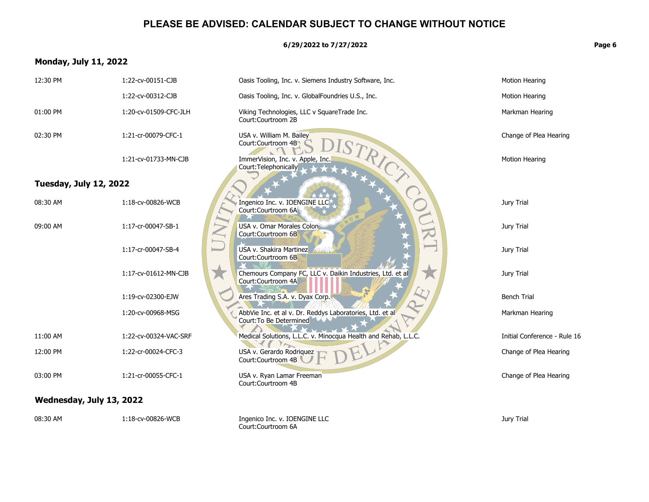**6/29/2022 to 7/27/2022 Page 6**

## **Monday, July 11, 2022**

### Court:Courtroom 4B<br>
ImmerVision, Inc. v. Apple<br>
Court:Telephonically<br>
Court:Courtroom 6A<br>
Court:Courtroom 6A<br>
USA v. Omar Morales Cold<br>
Court:Courtroom 6B<br>
USA v. Shakira Martinez  ${\rm D}$ **ISTRICT COURTS**  $\star$ Ares Trading S.A. v.<br>AbbVie Inc. et al v.<br>Court:To Be Determ<br>Medical Solutions, L<br>USA v. Gerardo Roo 12:00 PM 1:22-cr-00024-CFC-3 USA v. Gerardo Rodriquez<br>Court:Courtroom 4B  $\bm{\mathrm{F}}$ Paikin Industries, Ltd. et al. 12:30 PM 1:22-cv-00151-CJB Dasis Tooling, Inc. v. Siemens Industry Software, Inc. 1:22-cv-00312-CJB Casis Tooling, Inc. v. GlobalFoundries U.S., Inc. Motion Hearing 01:00 PM 1:20-cv-01509-CFC-JLH Viking Technologies, LLC v SquareTrade Inc. Court:Courtroom 2B Markman Hearing 02:30 PM 1:21-cr-00079-CFC-1 USA v. William M. Bailey Court:Courtroom 4B Change of Plea Hearing 1:21-cv-01733-MN-CJB ImmerVision, Inc. v. Apple, Inc. Court:Telephonically Motion Hearing  **Tuesday, July 12, 2022** 08:30 AM 1:18-cv-00826-WCB Ingenico Inc. v. IOENGINE LLC Court:Courtroom 6A Jury Trial 09:00 AM 1:17-cr-00047-SB-1 USA v. Omar Morales Colon Court:Courtroom 6B Jury Trial 1:17-cr-00047-SB-4 USA v. Shakira Martinez Court:Courtroom 6B Jury Trial 1:17-cv-01612-MN-CJB Chemours Company FC, LLC v. Daikin Industries, Ltd. et al Court:Courtroom 4A Jury Trial 1:19-cv-02300-EJW Ares Trading S.A. v. Dyax Corp. Bench Trial 1:20-cv-00968-MSG AbbVie Inc. et al v. Dr. Reddys Laboratories, Ltd. et al Court:To Be Determined Markman Hearing 11:00 AM 1:22-cv-00324-VAC-SRF Medical Solutions, L.L.C. v. Minocqua Health and Rehab, L.L.C. Initial Conference - Rule 16 Court:Courtroom 4B Change of Plea Hearing 03:00 PM 1:21-cr-00055-CFC-1 USA v. Ryan Lamar Freeman Court:Courtroom 4B Change of Plea Hearing  **Wednesday, July 13, 2022** 08:30 AM 1:18-cv-00826-WCB Ingenico Inc. v. IOENGINE LLC Court:Courtroom 6AJury Trial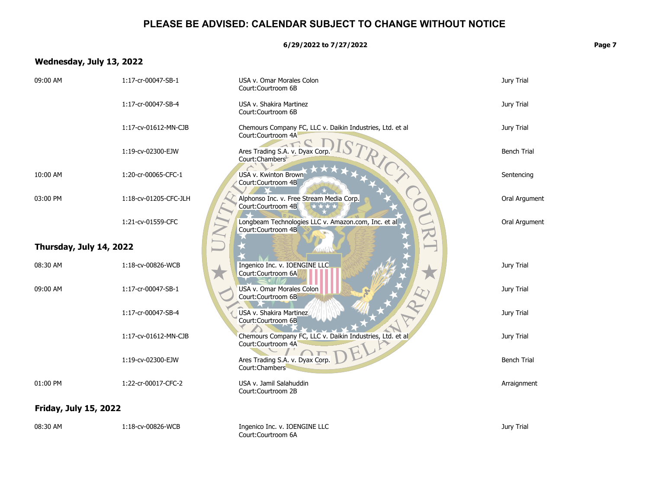**6/29/2022 to 7/27/2022 Page 7**

# **Wednesday, July 13, 2022**

| 09:00 AM                     | 1:17-cr-00047-SB-1    | USA v. Omar Morales Colon<br>Court:Courtroom 6B                                 | Jury Trial         |
|------------------------------|-----------------------|---------------------------------------------------------------------------------|--------------------|
|                              | 1:17-cr-00047-SB-4    | USA v. Shakira Martinez<br>Court:Courtroom 6B                                   | Jury Trial         |
|                              | 1:17-cv-01612-MN-CJB  | Chemours Company FC, LLC v. Daikin Industries, Ltd. et al<br>Court:Courtroom 4A | Jury Trial         |
|                              | 1:19-cv-02300-EJW     | Ares Trading S.A. v. Dyax Corp.<br>Court:Chambers                               | <b>Bench Trial</b> |
| 10:00 AM                     | 1:20-cr-00065-CFC-1   | USA v. Kwinton Brown<br>Court:Courtroom 4B                                      | Sentencing         |
| 03:00 PM                     | 1:18-cv-01205-CFC-JLH | Alphonso Inc. v. Free Stream Media Corp.<br>Court:Courtroom 4B                  | Oral Argument      |
|                              | 1:21-cv-01559-CFC     | Longbeam Technologies LLC v. Amazon.com, Inc. et al.<br>Court:Courtroom 4B      | Oral Argument      |
| Thursday, July 14, 2022      |                       |                                                                                 |                    |
| 08:30 AM                     | 1:18-cv-00826-WCB     | Ingenico Inc. v. IOENGINE LLC<br>Court:Courtroom 6A                             | Jury Trial         |
| 09:00 AM                     | 1:17-cr-00047-SB-1    | USA v. Omar Morales Colon<br>Court:Courtroom 6B                                 | Jury Trial         |
|                              | 1:17-cr-00047-SB-4    | USA v. Shakira Martinez<br>Court:Courtroom 6B                                   | Jury Trial         |
|                              | 1:17-cv-01612-MN-CJB  | Chemours Company FC, LLC v. Daikin Industries, Ltd. et al<br>Court:Courtroom 4A | Jury Trial         |
|                              | 1:19-cv-02300-EJW     | Ares Trading S.A. v. Dyax Corp.<br>Court: Chambers                              | <b>Bench Trial</b> |
| 01:00 PM                     | 1:22-cr-00017-CFC-2   | USA v. Jamil Salahuddin<br>Court:Courtroom 2B                                   | Arraignment        |
| <b>Friday, July 15, 2022</b> |                       |                                                                                 |                    |
| 08:30 AM                     | 1:18-cv-00826-WCB     | Ingenico Inc. v. IOENGINE LLC<br>Court:Courtroom 6A                             | Jury Trial         |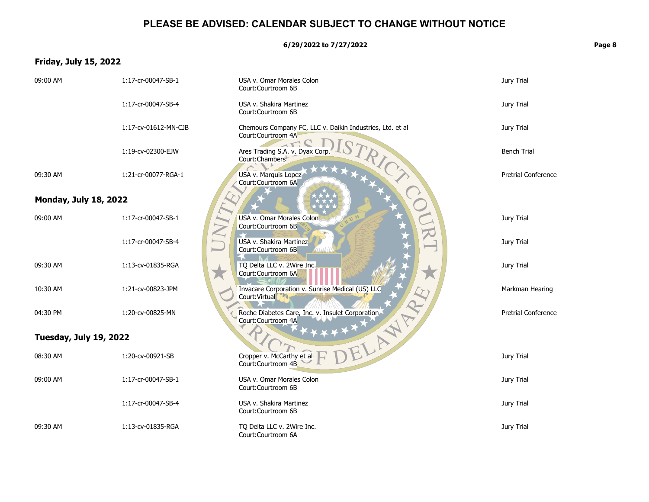**6/29/2022 to 7/27/2022 Page 8**

# **Friday, July 15, 2022**

| 09:00 AM                     | 1:17-cr-00047-SB-1   | USA v. Omar Morales Colon<br>Court:Courtroom 6B                                   | Jury Trial                 |
|------------------------------|----------------------|-----------------------------------------------------------------------------------|----------------------------|
|                              | 1:17-cr-00047-SB-4   | USA v. Shakira Martinez<br>Court:Courtroom 6B                                     | Jury Trial                 |
|                              | 1:17-cv-01612-MN-CJB | Chemours Company FC, LLC v. Daikin Industries, Ltd. et al.<br>Court:Courtroom 4A  | Jury Trial                 |
|                              | 1:19-cv-02300-EJW    | Ares Trading S.A. v. Dyax Corp.<br>Court: Chambers                                | <b>Bench Trial</b>         |
| 09:30 AM                     | 1:21-cr-00077-RGA-1  | USA v. Marquis Lopez<br>Court:Courtroom 6A                                        | <b>Pretrial Conference</b> |
| <b>Monday, July 18, 2022</b> |                      |                                                                                   |                            |
| 09:00 AM                     | 1:17-cr-00047-SB-1   | USA v. Omar Morales Colon<br>Court:Courtroom 6B                                   | Jury Trial                 |
|                              | 1:17-cr-00047-SB-4   | USA v. Shakira Martinez<br>Court:Courtroom 6B                                     | Jury Trial                 |
| 09:30 AM                     | 1:13-cv-01835-RGA    | TQ Delta LLC v. 2Wire Inc.<br>Court:Courtroom 6A                                  | Jury Trial                 |
| 10:30 AM                     | 1:21-cv-00823-JPM    | Invacare Corporation v. Sunrise Medical (US) LLC<br>Court: Virtual                | Markman Hearing            |
| 04:30 PM                     | 1:20-cv-00825-MN     | Roche Diabetes Care, Inc. v. Insulet Corporation<br>TAWAY.<br>Court: Courtroom 4A | <b>Pretrial Conference</b> |
| Tuesday, July 19, 2022       |                      |                                                                                   |                            |
| 08:30 AM                     | 1:20-cv-00921-SB     | Cropper v. McCarthy et all<br>Court:Courtroom 4B                                  | Jury Trial                 |
| 09:00 AM                     | 1:17-cr-00047-SB-1   | USA v. Omar Morales Colon<br>Court:Courtroom 6B                                   | Jury Trial                 |
|                              | 1:17-cr-00047-SB-4   | USA v. Shakira Martinez<br>Court:Courtroom 6B                                     | Jury Trial                 |
| 09:30 AM                     | 1:13-cv-01835-RGA    | TQ Delta LLC v. 2Wire Inc.<br>Court:Courtroom 6A                                  | Jury Trial                 |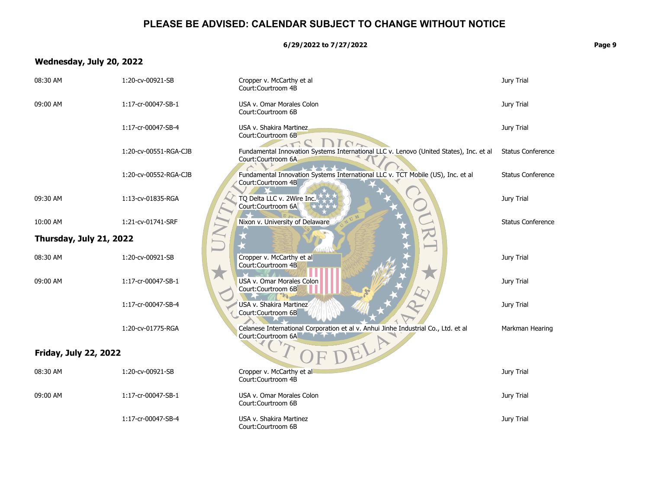**6/29/2022 to 7/27/2022 Page 9**

# **Wednesday, July 20, 2022**

| 08:30 AM                     | 1:20-cv-00921-SB      | Cropper v. McCarthy et al<br>Court:Courtroom 4B                                                              | Jury Trial               |
|------------------------------|-----------------------|--------------------------------------------------------------------------------------------------------------|--------------------------|
| 09:00 AM                     | 1:17-cr-00047-SB-1    | USA v. Omar Morales Colon<br>Court:Courtroom 6B                                                              | Jury Trial               |
|                              | 1:17-cr-00047-SB-4    | USA v. Shakira Martinez<br>Court:Courtroom 6B                                                                | Jury Trial               |
|                              | 1:20-cv-00551-RGA-CJB | Fundamental Innovation Systems International LLC v. Lenovo (United States), Inc. et al<br>Court:Courtroom 6A | <b>Status Conference</b> |
|                              | 1:20-cv-00552-RGA-CJB | Fundamental Innovation Systems International LLC v. TCT Mobile (US), Inc. et al<br>Court: Courtroom 4B       | <b>Status Conference</b> |
| 09:30 AM                     | 1:13-cv-01835-RGA     | TQ Delta LLC v. 2Wire Inc.<br>Court:Courtroom 6A                                                             | Jury Trial               |
| 10:00 AM                     | 1:21-cv-01741-SRF     | Nixon v. University of Delaware                                                                              | <b>Status Conference</b> |
| Thursday, July 21, 2022      | N                     |                                                                                                              |                          |
| 08:30 AM                     | 1:20-cv-00921-SB      | Cropper v. McCarthy et al<br>Court: Courtroom 4B                                                             | Jury Trial               |
| 09:00 AM                     | 1:17-cr-00047-SB-1    | USA v. Omar Morales Colon<br>Court:Courtroom 6B                                                              | Jury Trial               |
|                              | 1:17-cr-00047-SB-4    | USA v. Shakira Martinez<br>Court:Courtroom 6B                                                                | Jury Trial               |
|                              | 1:20-cv-01775-RGA     | Celanese International Corporation et al v. Anhui Jinhe Industrial Co., Ltd. et al<br>Court:Courtroom 6A     | Markman Hearing          |
| <b>Friday, July 22, 2022</b> |                       | JELA                                                                                                         |                          |
| 08:30 AM                     | 1:20-cv-00921-SB      | Cropper v. McCarthy et al<br>Court:Courtroom 4B                                                              | Jury Trial               |
| 09:00 AM                     | 1:17-cr-00047-SB-1    | USA v. Omar Morales Colon<br>Court:Courtroom 6B                                                              | Jury Trial               |
|                              | 1:17-cr-00047-SB-4    | USA v. Shakira Martinez<br>Court:Courtroom 6B                                                                | Jury Trial               |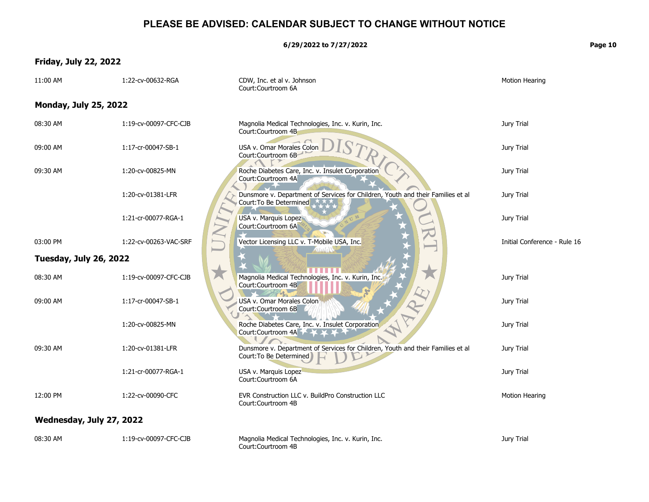**6/29/2022 to 7/27/2022 Page 10**

# **Friday, July 22, 2022**

| ı.<br>ı<br>г |  |
|--------------|--|
|              |  |

| 11:00 AM                     | 1:22-cv-00632-RGA     | CDW, Inc. et al v. Johnson<br>Court:Courtroom 6A                                                           | Motion Hearing               |
|------------------------------|-----------------------|------------------------------------------------------------------------------------------------------------|------------------------------|
| <b>Monday, July 25, 2022</b> |                       |                                                                                                            |                              |
| 08:30 AM                     | 1:19-cv-00097-CFC-CJB | Magnolia Medical Technologies, Inc. v. Kurin, Inc.<br>Court:Courtroom 4B                                   | Jury Trial                   |
| 09:00 AM                     | 1:17-cr-00047-SB-1    | USA v. Omar Morales Colon<br>Court:Courtroom 6B-                                                           | Jury Trial                   |
| 09:30 AM                     | 1:20-cv-00825-MN      | Roche Diabetes Care, Inc. v. Insulet Corporation<br>Court:Courtroom 4A                                     | Jury Trial                   |
|                              | 1:20-cv-01381-LFR     | Dunsmore v. Department of Services for Children, Youth and their Families et al<br>Court: To Be Determined | Jury Trial                   |
|                              | 1:21-cr-00077-RGA-1   | USA v. Marquis Lopez<br>Court:Courtroom 6A                                                                 | Jury Trial                   |
| 03:00 PM                     | 1:22-cv-00263-VAC-SRF | Vector Licensing LLC v. T-Mobile USA, Inc.                                                                 | Initial Conference - Rule 16 |
| Tuesday, July 26, 2022       |                       |                                                                                                            |                              |
| 08:30 AM                     | 1:19-cv-00097-CFC-CJB | Magnolia Medical Technologies, Inc. v. Kurin, Inc.<br>Court:Courtroom 4B                                   | Jury Trial                   |
| 09:00 AM                     | 1:17-cr-00047-SB-1    | USA v. Omar Morales Colon<br>Court:Courtroom 6B                                                            | Jury Trial                   |
|                              | 1:20-cv-00825-MN      | Roche Diabetes Care, Inc. v. Insulet Corporation<br>Court:Courtroom 4A                                     | Jury Trial                   |
| 09:30 AM                     | 1:20-cv-01381-LFR     | Dunsmore v. Department of Services for Children, Youth and their Families et al<br>Court: To Be Determined | Jury Trial                   |
|                              | 1:21-cr-00077-RGA-1   | USA v. Marquis Lopez<br>Court:Courtroom 6A                                                                 | Jury Trial                   |
| 12:00 PM                     | 1:22-cv-00090-CFC     | EVR Construction LLC v. BuildPro Construction LLC<br>Court:Courtroom 4B                                    | <b>Motion Hearing</b>        |
| Wednesday, July 27, 2022     |                       |                                                                                                            |                              |
| 08:30 AM                     | 1:19-cv-00097-CFC-CJB | Magnolia Medical Technologies, Inc. v. Kurin, Inc.<br>Court:Courtroom 4B                                   | Jury Trial                   |